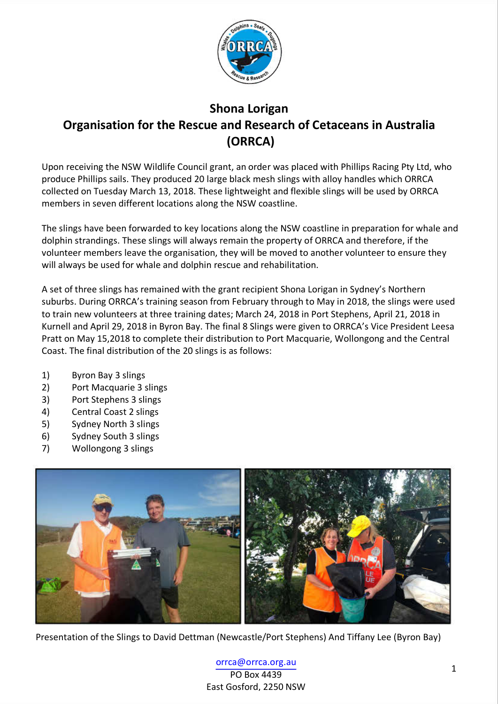

## **Shona Lorigan Organisation for the Rescue and Research of Cetaceans in Australia (ORRCA)**

Upon receiving the NSW Wildlife Council grant, an order was placed with Phillips Racing Pty Ltd, who produce Phillips sails. They produced 20 large black mesh slings with alloy handles which ORRCA collected on Tuesday March 13, 2018. These lightweight and flexible slings will be used by ORRCA members in seven different locations along the NSW coastline.

The slings have been forwarded to key locations along the NSW coastline in preparation for whale and dolphin strandings. These slings will always remain the property of ORRCA and therefore, if the volunteer members leave the organisation, they will be moved to another volunteer to ensure they will always be used for whale and dolphin rescue and rehabilitation.

A set of three slings has remained with the grant recipient Shona Lorigan in Sydney's Northern suburbs. During ORRCA's training season from February through to May in 2018, the slings were used to train new volunteers at three training dates; March 24, 2018 in Port Stephens, April 21, 2018 in Kurnell and April 29, 2018 in Byron Bay. The final 8 Slings were given to ORRCA's Vice President Leesa Pratt on May 15,2018 to complete their distribution to Port Macquarie, Wollongong and the Central Coast. The final distribution of the 20 slings is as follows:

- 1) Byron Bay 3 slings
- 2) Port Macquarie 3 slings
- 3) Port Stephens 3 slings
- 4) Central Coast 2 slings
- 5) Sydney North 3 slings
- 6) Sydney South 3 slings
- 7) Wollongong 3 slings



Presentation of the Slings to David Dettman (Newcastle/Port Stephens) And Tiffany Lee (Byron Bay)

<sup>1</sup> orrca@orrca.org.au PO Box 4439 East Gosford, 2250 NSW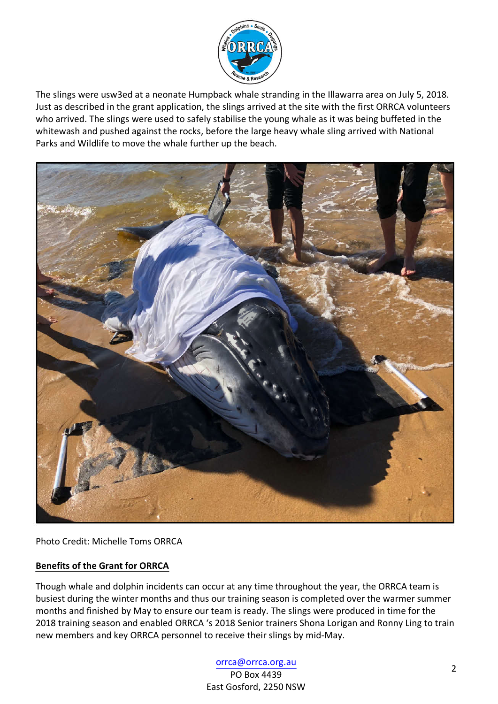

The slings were usw3ed at a neonate Humpback whale stranding in the Illawarra area on July 5, 2018. Just as described in the grant application, the slings arrived at the site with the first ORRCA volunteers who arrived. The slings were used to safely stabilise the young whale as it was being buffeted in the whitewash and pushed against the rocks, before the large heavy whale sling arrived with National Parks and Wildlife to move the whale further up the beach.



Photo Credit: Michelle Toms ORRCA

## **Benefits of the Grant for ORRCA**

Though whale and dolphin incidents can occur at any time throughout the year, the ORRCA team is busiest during the winter months and thus our training season is completed over the warmer summer months and finished by May to ensure our team is ready. The slings were produced in time for the 2018 training season and enabled ORRCA 's 2018 Senior trainers Shona Lorigan and Ronny Ling to train new members and key ORRCA personnel to receive their slings by mid-May.

## <sup>2</sup> orrca@orrca.org.au

PO Box 4439 East Gosford, 2250 NSW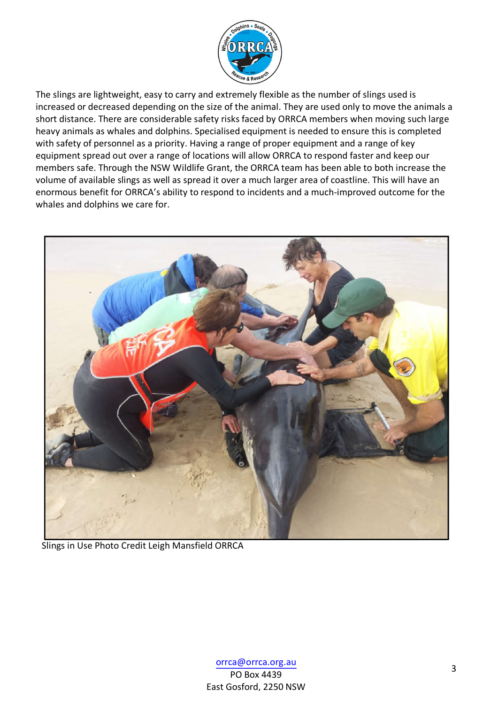

The slings are lightweight, easy to carry and extremely flexible as the number of slings used is increased or decreased depending on the size of the animal. They are used only to move the animals a short distance. There are considerable safety risks faced by ORRCA members when moving such large heavy animals as whales and dolphins. Specialised equipment is needed to ensure this is completed with safety of personnel as a priority. Having a range of proper equipment and a range of key equipment spread out over a range of locations will allow ORRCA to respond faster and keep our members safe. Through the NSW Wildlife Grant, the ORRCA team has been able to both increase the volume of available slings as well as spread it over a much larger area of coastline. This will have an enormous benefit for ORRCA's ability to respond to incidents and a much-improved outcome for the whales and dolphins we care for.



Slings in Use Photo Credit Leigh Mansfield ORRCA